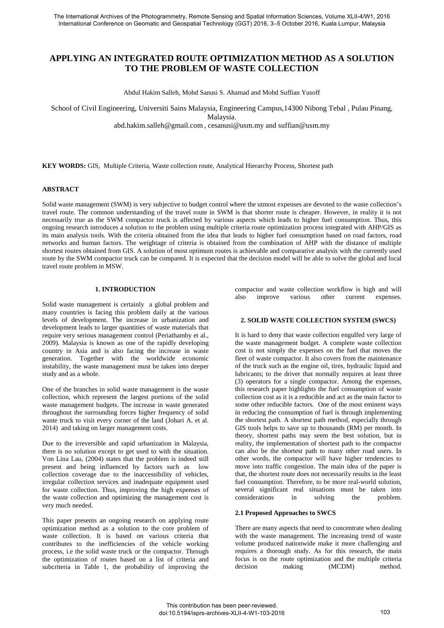# **APPLYING AN INTEGRATED ROUTE OPTIMIZATION METHOD AS A SOLUTION TO THE PROBLEM OF WASTE COLLECTION**

Abdul Hakim Salleh, Mohd Sanusi S. Ahamad and Mohd Suffian Yusoff

School of Civil Engineering, Universiti Sains Malaysia, Engineering Campus,14300 Nibong Tebal , Pulau Pinang,

Malaysia.

[abd.hakim.salleh@gmail.com](mailto:abd.hakim.salleh@gmail.com) , [cesanusi@usm.my](mailto:cesanusi@usm.my) and suffian@usm.my

**KEY WORDS:** GIS, Multiple Criteria, Waste collection route, Analytical Hierarchy Process, Shortest path

### **ABSTRACT**

Solid waste management (SWM) is very subjective to budget control where the utmost expenses are devoted to the waste collection's travel route. The common understanding of the travel route in SWM is that shorter route is cheaper. However, in reality it is not necessarily true as the SWM compactor truck is affected by various aspects which leads to higher fuel consumption. Thus, this ongoing research introduces a solution to the problem using multiple criteria route optimization process integrated with AHP/GIS as its main analysis tools. With the criteria obtained from the idea that leads to higher fuel consumption based on road factors, road networks and human factors. The weightage of criteria is obtained from the combination of AHP with the distance of multiple shortest routes obtained from GIS. A solution of most optimum routes is achievable and comparative analysis with the currently used route by the SWM compactor truck can be compared. It is expected that the decision model will be able to solve the global and local travel route problem in MSW.

### **1. INTRODUCTION**

Solid waste management is certainly a global problem and many countries is facing this problem daily at the various levels of development. The increase in urbanization and development leads to larger quantities of waste materials that require very serious management control (Periathamby et al., 2009). Malaysia is known as one of the rapidly developing country in Asia and is also facing the increase in waste generation. Together with the worldwide economic instability, the waste management must be taken into deeper study and as a whole.

One of the branches in solid waste management is the waste collection, which represent the largest portions of the solid waste management budgets. The increase in waste generated throughout the surrounding forces higher frequency of solid waste truck to visit every corner of the land (Johari A. et al. 2014) and taking on larger management costs.

Due to the irreversible and rapid urbanization in Malaysia, there is no solution except to get used to with the situation. Von Lina Lau, (2004) states that the problem is indeed still present and being influenced by factors such as low collection coverage due to the inaccessibility of vehicles, irregular collection services and inadequate equipment used for waste collection. Thus, improving the high expenses of the waste collection and optimizing the management cost is very much needed.

This paper presents an ongoing research on applying route optimization method as a solution to the core problem of waste collection. It is based on various criteria that contributes to the inefficiencies of the vehicle working process, i.e the solid waste truck or the compactor. Through the optimization of routes based on a list of criteria and subcriteria in Table 1, the probability of improving the

compactor and waste collection workflow is high and will<br>also improve various other current expenses. also improve various other current expenses.

### **2. SOLID WASTE COLLECTION SYSTEM (SWCS)**

It is hard to deny that waste collection engulfed very large of the waste management budget. A complete waste collection cost is not simply the expenses on the fuel that moves the fleet of waste compactor. It also covers from the maintenance of the truck such as the engine oil, tires, hydraulic liquid and lubricants; to the driver that normally requires at least three (3) operators for a single compactor. Among the expenses, this research paper highlights the fuel consumption of waste collection cost as it is a reducible and act as the main factor to some other reducible factors. One of the most eminent ways in reducing the consumption of fuel is through implementing the shortest path. A shortest path method, especially through GIS tools helps to save up to thousands (RM) per month. In theory, shortest paths may seem the best solution, but in reality, the implementation of shortest path to the compactor can also be the shortest path to many other road users. In other words, the compactor will have higher tendencies to move into traffic congestion. The main idea of the paper is that, the shortest route does not necessarily results in the least fuel consumption. Therefore, to be more real-world solution, several significant real situations must be taken into considerations in solving the problem.

### **2.1 Proposed Approaches to SWCS**

There are many aspects that need to concentrate when dealing with the waste management. The increasing trend of waste volume produced nationwide make it more challenging and requires a thorough study. As for this research, the main focus is on the route optimization and the multiple criteria decision making (MCDM) method.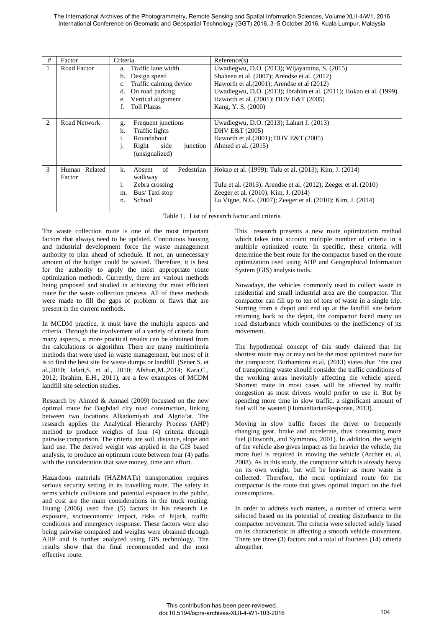The International Archives of the Photogrammetry, Remote Sensing and Spatial Information Sciences, Volume XLII-4/W1, 2016 International Conference on Geomatic and Geospatial Technology (GGT) 2016, 3–5 October 2016, Kuala Lumpur, Malaysia

| #              | Factor                     | Criteria                                                                                                                                                                 | Reference(s)                                                                                                                                                                                                                                                                            |  |  |
|----------------|----------------------------|--------------------------------------------------------------------------------------------------------------------------------------------------------------------------|-----------------------------------------------------------------------------------------------------------------------------------------------------------------------------------------------------------------------------------------------------------------------------------------|--|--|
|                | Road Factor                | Traffic lane width<br>a.<br>Design speed<br>b.<br>Traffic calming device<br>c.<br>On road parking<br>d.<br>Vertical alignment<br>e.<br><b>Toll Plazas</b><br>$f_{\cdot}$ | Uwadiegwu, D.O. (2013); Wijayaratna, S. (2015)<br>Shaheen et al. (2007); Arendse et al. (2012)<br>Haworth et al. $(2001)$ ; Arendse et al $(2012)$<br>Uwadiegwu, D.O. (2013); Ibrahim et al. (2011); Hokao et al. (1999)<br>Haworth et al. (2001); DHV E&T (2005)<br>Kang, Y. S. (2000) |  |  |
| $\overline{c}$ | Road Network               | Frequent junctions<br>g.<br>Traffic lights<br>h.<br>Roundabout<br>1.<br>side<br>Right<br>junction<br>$\mathbf{1}$ .<br>(unsignalized)                                    | Uwadiegwu, D.O. (2013); Lahart J. (2013)<br>DHV E&T (2005)<br>Haworth et al. (2001); DHV E&T (2005)<br>Ahmed et al. $(2015)$                                                                                                                                                            |  |  |
| 3              | Related<br>Human<br>Factor | of<br>Pedestrian<br>k.<br>Absent<br>walkway<br>Zebra crossing<br>1.<br>Bus/Taxi stop<br>m.<br>School<br>n.                                                               | Hokao et al. (1999); Tulu et al. (2013); Kim, J. (2014)<br>Tulu et al. (2013); Arendse et al. (2012); Zeeger et al. (2010)<br>Zeeger et al. (2010); Kim, J. (2014)<br>La Vigne, N.G. (2007); Zeeger et al. (2010); Kim, J. (2014)                                                       |  |  |

Table 1. List of research factor and criteria

The waste collection route is one of the most important factors that always need to be updated. Continuous housing and industrial development force the waste management authority to plan ahead of schedule. If not, an unnecessary amount of the budget could be wasted. Therefore, it is best for the authority to apply the most appropriate route optimization methods. Currently, there are various methods being proposed and studied in achieving the most efficient route for the waste collection process. All of these methods were made to fill the gaps of problem or flaws that are present in the current methods.

In MCDM practice, it must have the multiple aspects and criteria. Through the involvement of a variety of criteria from many aspects, a more practical results can be obtained from the calculations or algorithm. There are many multicriteria methods that were used in waste management, but most of it is to find the best site for waste dumps or landfill. (Sener,S. et al.,2010; Jafari,S. et al., 2010; Afshari,M.,2014; Kara,C., 2012; Ibrahim, E.H., 2011), are a few examples of MCDM landfill site selection studies.

Research by Ahmed & Asmael (2009) focussed on the new optimal route for Baghdad city road construction, linking between two locations Alkadomiyah and Algria'at. The research applies the Analytical Hierarchy Process (AHP) method to produce weights of four (4) criteria through pairwise comparison. The criteria are soil, distance, slope and land use. The derived weight was applied in the GIS based analysis, to produce an optimum route between four (4) paths with the consideration that save money, time and effort.

Hazardous materials (HAZMATs) transportation requires serious security setting in its travelling route. The safety in terms vehicle collisions and potential exposure to the public, and cost are the main considerations in the truck routing. Huang (2006) used five (5) factors in his research i.e. exposure, socioeconomic impact, risks of hijack, traffic conditions and emergency response. These factors were also being pairwise compared and weights were obtained through AHP and is further analyzed using GIS technology. The results show that the final recommended and the most effective route.

This research presents a new route optimization method which takes into account multiple number of criteria in a multiple optimized route. In specific, these criteria will determine the best route for the compactor based on the route optimization used using AHP and Geographical Information System (GIS) analysis tools.

Nowadays, the vehicles commonly used to collect waste in residential and small industrial area are the compactor. The compactor can fill up to ten of tons of waste in a single trip. Starting from a depot and end up at the landfill site before returning back to the depot, the compactor faced many on road disturbance which contributes to the inefficiency of its movement.

The hypothetical concept of this study claimed that the shortest route may or may not be the most optimized route for the compactor. Burhamtoro et.al, (2013) states that "the cost of transporting waste should consider the traffic conditions of the working areas inevitably affecting the vehicle speed. Shortest route in most cases will be affected by traffic congestion as most drivers would prefer to use it. But by spending more time in slow traffic, a significant amount of fuel will be wasted (HumanitarianResponse, 2013).

Moving in slow traffic forces the driver to frequently changing gear, brake and accelerate, thus consuming more fuel (Haworth, and Symmons, 2001). In addition, the weight of the vehicle also gives impact as the heavier the vehicle, the more fuel is required in moving the vehicle (Archer et. al, 2008). As in this study, the compactor which is already heavy on its own weight, but will be heavier as more waste is collected. Therefore, the most optimized route for the compactor is the route that gives optimal impact on the fuel consumptions.

In order to address such matters, a number of criteria were selected based on its potential of creating disturbance to the compactor movement. The criteria were selected solely based on its characteristic in affecting a smooth vehicle movement. There are three (3) factors and a total of fourteen (14) criteria altogether.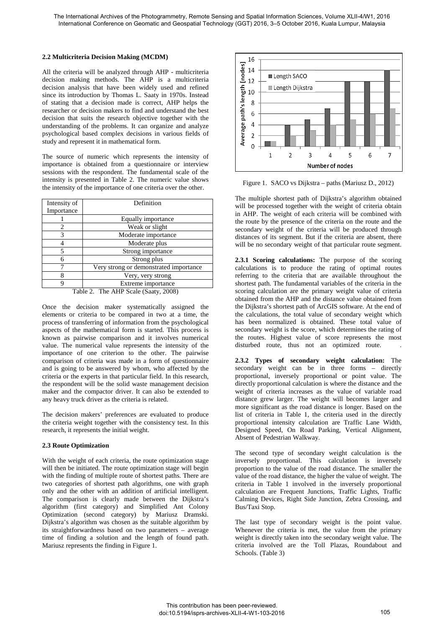### **2.2 Multicriteria Decision Making (MCDM)**

All the criteria will be analyzed through AHP - multicriteria decision making methods. The AHP is a multicriteria decision analysis that have been widely used and refined since its introduction by Thomas L. Saaty in 1970s. Instead of stating that a decision made is correct, AHP helps the researcher or decision makers to find and understand the best decision that suits the research objective together with the understanding of the problems. It can organize and analyze psychological based complex decisions in various fields of study and represent it in mathematical form.

The source of numeric which represents the intensity of importance is obtained from a questionnaire or interview sessions with the respondent. The fundamental scale of the intensity is presented in Table 2. The numeric value shows the intensity of the importance of one criteria over the other.

| Definition                             |  |  |  |  |
|----------------------------------------|--|--|--|--|
|                                        |  |  |  |  |
| Equally importance                     |  |  |  |  |
| Weak or slight<br>Moderate importance  |  |  |  |  |
|                                        |  |  |  |  |
| Strong importance                      |  |  |  |  |
| Strong plus                            |  |  |  |  |
| Very strong or demonstrated importance |  |  |  |  |
| Very, very strong                      |  |  |  |  |
| Extreme importance                     |  |  |  |  |
|                                        |  |  |  |  |

Table 2. The AHP Scale (Saaty, 2008)

Once the decision maker systematically assigned the elements or criteria to be compared in two at a time, the process of transferring of information from the psychological aspects of the mathematical form is started. This process is known as pairwise comparison and it involves numerical value. The numerical value represents the intensity of the importance of one criterion to the other. The pairwise comparison of criteria was made in a form of questionnaire and is going to be answered by whom, who affected by the criteria or the experts in that particular field. In this research, the respondent will be the solid waste management decision maker and the compactor driver. It can also be extended to any heavy truck driver as the criteria is related.

The decision makers' preferences are evaluated to produce the criteria weight together with the consistency test. In this research, it represents the initial weight.

## **2.3 Route Optimization**

With the weight of each criteria, the route optimization stage will then be initiated. The route optimization stage will begin with the finding of multiple route of shortest paths. There are two categories of shortest path algorithms, one with graph only and the other with an addition of artificial intelligent. The comparison is clearly made between the Dijkstra's algorithm (first category) and Simplified Ant Colony Optimization (second category) by Mariusz Dramski. Dijkstra's algorithm was chosen as the suitable algorithm by its straightforwardness based on two parameters – average time of finding a solution and the length of found path. Mariusz represents the finding in Figure 1.



Figure 1. SACO vs Dijkstra – paths (Mariusz D., 2012)

The multiple shortest path of Dijkstra's algorithm obtained will be processed together with the weight of criteria obtain in AHP. The weight of each criteria will be combined with the route by the presence of the criteria on the route and the secondary weight of the criteria will be produced through distances of its segment. But if the criteria are absent, there will be no secondary weight of that particular route segment.

**2.3.1 Scoring calculations:** The purpose of the scoring calculations is to produce the rating of optimal routes referring to the criteria that are available throughout the shortest path. The fundamental variables of the criteria in the scoring calculation are the primary weight value of criteria obtained from the AHP and the distance value obtained from the Dijkstra's shortest path of ArcGIS software. At the end of the calculations, the total value of secondary weight which has been normalized is obtained. These total value of secondary weight is the score, which determines the rating of the routes. Highest value of score represents the most disturbed route, thus not an optimized route.

**2.3.2 Types of secondary weight calculation:** The secondary weight can be in three forms – directly proportional, inversely proportional or point value. The directly proportional calculation is where the distance and the weight of criteria increases as the value of variable road distance grew larger. The weight will becomes larger and more significant as the road distance is longer. Based on the list of criteria in Table 1, the criteria used in the directly proportional intensity calculation are Traffic Lane Width, Designed Speed, On Road Parking, Vertical Alignment, Absent of Pedestrian Walkway.

The second type of secondary weight calculation is the inversely proportional. This calculation is inversely proportion to the value of the road distance. The smaller the value of the road distance, the higher the value of weight. The criteria in Table 1 involved in the inversely proportional calculation are Frequent Junctions, Traffic Lights, Traffic Calming Devices, Right Side Junction, Zebra Crossing, and Bus/Taxi Stop.

The last type of secondary weight is the point value. Whenever the criteria is met, the value from the primary weight is directly taken into the secondary weight value. The criteria involved are the Toll Plazas, Roundabout and Schools. (Table 3)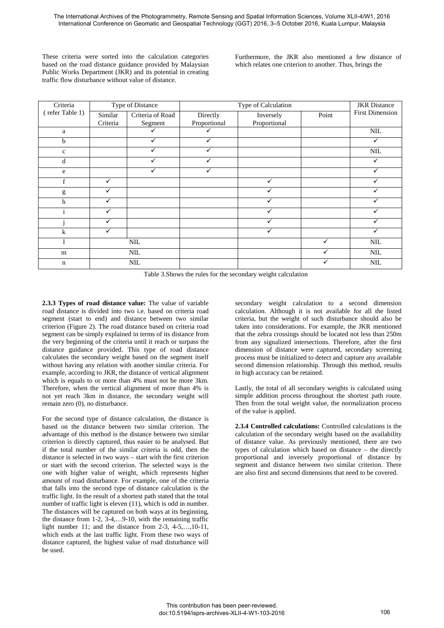These criteria were sorted into the calculation categories based on the road distance guidance provided by Malaysian Public Works Department (JKR) and its potential in creating traffic flow disturbance without value of distance.

Furthermore, the JKR also mentioned a few distance of which relates one criterion to another. Thus, brings the

| Criteria        | Type of Distance |                  | Type of Calculation |              |       | <b>JKR</b> Distance    |
|-----------------|------------------|------------------|---------------------|--------------|-------|------------------------|
| (refer Table 1) | Similar          | Criteria of Road | Directly            | Inversely    | Point | <b>First Dimension</b> |
|                 | Criteria         | Segment          | Proportional        | Proportional |       |                        |
| a               |                  |                  |                     |              |       | <b>NIL</b>             |
| b               |                  | ✓                |                     |              |       |                        |
| $\mathbf{C}$    |                  |                  |                     |              |       | <b>NIL</b>             |
| d               |                  |                  |                     |              |       |                        |
| e               |                  | ✓                |                     |              |       |                        |
| f               | $\checkmark$     |                  |                     | ✓            |       |                        |
| g               | $\checkmark$     |                  |                     |              |       |                        |
| h               |                  |                  |                     |              |       |                        |
|                 | $\checkmark$     |                  |                     |              |       |                        |
|                 | ✓                |                  |                     | ✓            |       |                        |
| $\bf k$         | $\checkmark$     |                  |                     |              |       |                        |
|                 |                  | $\text{NIL}$     |                     |              |       | NIL                    |
| m               |                  | $\text{NIL}$     |                     |              |       | $\mbox{NIL}$           |
| $\mathbf n$     |                  | <b>NIL</b>       |                     |              |       | <b>NIL</b>             |

Table 3.Shows the rules for the secondary weight calculation

**2.3.3 Types of road distance value:** The value of variable road distance is divided into two i.e. based on criteria road segment (start to end) and distance between two similar criterion (Figure 2). The road distance based on criteria road segment can be simply explained in terms of its distance from the very beginning of the criteria until it reach or surpass the distance guidance provided. This type of road distance calculates the secondary weight based on the segment itself without having any relation with another similar criteria. For example, according to JKR, the distance of vertical alignment which is equals to or more than 4% must not be more 3km. Therefore, when the vertical alignment of more than 4% is not yet reach 3km in distance, the secondary weight will remain zero (0), no disturbance.

For the second type of distance calculation, the distance is based on the distance between two similar criterion. The advantage of this method is the distance between two similar criterion is directly captured, thus easier to be analysed. But if the total number of the similar criteria is odd, then the distance is selected in two ways – start with the first criterion or start with the second criterion. The selected ways is the one with higher value of weight, which represents higher amount of road disturbance. For example, one of the criteria that falls into the second type of distance calculation is the traffic light. In the result of a shortest path stated that the total number of traffic light is eleven (11), which is odd in number. The distances will be captured on both ways at its beginning, the distance from 1-2,  $3-4$ ,  $9-10$ , with the remaining traffic light number 11; and the distance from 2-3, 4-5,…,10-11, which ends at the last traffic light. From these two ways of distance captured, the highest value of road disturbance will be used.

secondary weight calculation to a second dimension calculation. Although it is not available for all the listed criteria, but the weight of such disturbance should also be taken into considerations. For example, the JKR mentioned that the zebra crossings should be located not less than 250m from any signalized intersections. Therefore, after the first dimension of distance were captured, secondary screening process must be initialized to detect and capture any available second dimension relationship. Through this method, results in high accuracy can be retained.

Lastly, the total of all secondary weights is calculated using simple addition process throughout the shortest path route. Then from the total weight value, the normalization process of the value is applied.

**2.3.4 Controlled calculations:** Controlled calculations is the calculation of the secondary weight based on the availability of distance value. As previously mentioned, there are two types of calculation which based on distance – the directly proportional and inversely proportional of distance by segment and distance between two similar criterion. There are also first and second dimensions that need to be covered.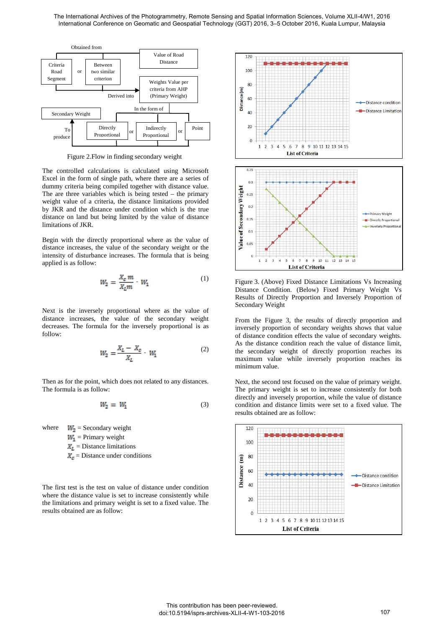

Figure 2.Flow in finding secondary weight

The controlled calculations is calculated using Microsoft Excel in the form of single path, where there are a series of dummy criteria being compiled together with distance value. The are three variables which is being tested – the primary weight value of a criteria, the distance limitations provided by JKR and the distance under condition which is the true distance on land but being limited by the value of distance limitations of JKR.

Begin with the directly proportional where as the value of distance increases, the value of the secondary weight or the intensity of disturbance increases. The formula that is being applied is as follow:

$$
W_2 = \frac{X_c \, m}{X_c m} \cdot W_1 \tag{1}
$$

Next is the inversely proportional where as the value of distance increases, the value of the secondary weight decreases. The formula for the inversely proportional is as follow:

$$
W_2 = \frac{X_L - X_c}{X_L} \cdot W_1 \tag{2}
$$

Then as for the point, which does not related to any distances. The formula is as follow:

$$
W_2 = W_1 \tag{3}
$$

where  $W_2$  = Secondary weight  $W_1$  = Primary weight  $\mathbf{X}_{L}$  = Distance limitations  $\mathbf{X}_n$  = Distance under conditions

The first test is the test on value of distance under condition where the distance value is set to increase consistently while the limitations and primary weight is set to a fixed value. The results obtained are as follow:



Figure 3. (Above) Fixed Distance Limitations Vs Increasing Distance Condition. (Below) Fixed Primary Weight Vs Results of Directly Proportion and Inversely Proportion of Secondary Weight

**List of Criteria** 

From the Figure 3, the results of directly proportion and inversely proportion of secondary weights shows that value of distance condition effects the value of secondary weights. As the distance condition reach the value of distance limit, the secondary weight of directly proportion reaches its maximum value while inversely proportion reaches its minimum value.

Next, the second test focused on the value of primary weight. The primary weight is set to increase consistently for both directly and inversely proportion, while the value of distance condition and distance limits were set to a fixed value. The results obtained are as follow:

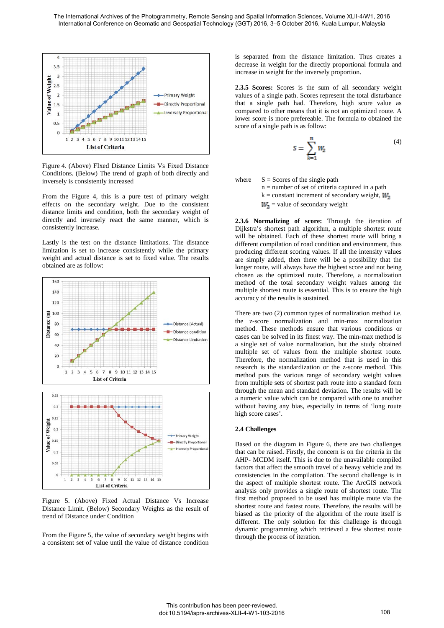

Figure 4. (Above) FIxed Distance Limits Vs Fixed Distance Conditions. (Below) The trend of graph of both directly and inversely is consistently increased

From the Figure 4, this is a pure test of primary weight effects on the secondary weight. Due to the consistent distance limits and condition, both the secondary weight of directly and inversely react the same manner, which is consistently increase.

Lastly is the test on the distance limitations. The distance limitation is set to increase consistently while the primary weight and actual distance is set to fixed value. The results obtained are as follow:



Figure 5. (Above) Fixed Actual Distance Vs Increase Distance Limit. (Below) Secondary Weights as the result of trend of Distance under Condition

From the Figure 5, the value of secondary weight begins with a consistent set of value until the value of distance condition is separated from the distance limitation. Thus creates a decrease in weight for the directly proportional formula and increase in weight for the inversely proportion.

**2.3.5 Scores:** Scores is the sum of all secondary weight values of a single path. Scores represent the total disturbance that a single path had. Therefore, high score value as compared to other means that it is not an optimized route. A lower score is more prefereable. The formula to obtained the score of a single path is as follow:

$$
S = \sum_{k=1}^{n} W_2 \tag{4}
$$

where  $S =$  Scores of the single path

n = number of set of criteria captured in a path  $k = constant$  increment of secondary weight,  $M_{\odot}$ 

 $W_2$  = value of secondary weight

**2.3.6 Normalizing of score:** Through the iteration of Dijkstra's shortest path algorithm, a multiple shortest route will be obtained. Each of these shortest route will bring a different compilation of road condition and environment, thus producing different scoring values. If all the intensity values are simply added, then there will be a possibility that the longer route, will always have the highest score and not being chosen as the optimized route. Therefore, a normalization method of the total secondary weight values among the multiple shortest route is essential. This is to ensure the high accuracy of the results is sustained.

There are two (2) common types of normalization method i.e. the z-score normalization and min-max normalization method. These methods ensure that various conditions or cases can be solved in its finest way. The min-max method is a single set of value normalization, but the study obtained multiple set of values from the multiple shortest route. Therefore, the normalization method that is used in this research is the standardization or the z-score method. This method puts the various range of secondary weight values from multiple sets of shortest path route into a standard form through the mean and standard deviation. The results will be a numeric value which can be compared with one to another without having any bias, especially in terms of 'long route high score cases'.

### **2.4 Challenges**

Based on the diagram in Figure 6, there are two challenges that can be raised. Firstly, the concern is on the criteria in the AHP- MCDM itself. This is due to the unavailable compiled factors that affect the smooth travel of a heavy vehicle and its consistencies in the compilation. The second challenge is in the aspect of multiple shortest route. The ArcGIS network analysis only provides a single route of shortest route. The first method proposed to be used has multiple route via the shortest route and fastest route. Therefore, the results will be biased as the priority of the algorithm of the route itself is different. The only solution for this challenge is through dynamic programming which retrieved a few shortest route through the process of iteration.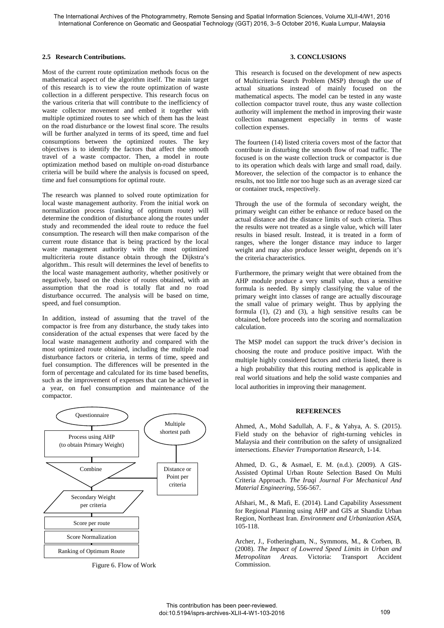### **2.5 Research Contributions.**

Most of the current route optimization methods focus on the mathematical aspect of the algorithm itself. The main target of this research is to view the route optimization of waste collection in a different perspective. This research focus on the various criteria that will contribute to the inefficiency of waste collector movement and embed it together with multiple optimized routes to see which of them has the least on the road disturbance or the lowest final score. The results will be further analyzed in terms of its speed, time and fuel consumptions between the optimized routes. The key objectives is to identify the factors that affect the smooth travel of a waste compactor. Then, a model in route optimization method based on multiple on-road disturbance criteria will be build where the analysis is focused on speed, time and fuel consumptions for optimal route.

The research was planned to solved route optimization for local waste management authority. From the initial work on normalization process (ranking of optimum route) will determine the condition of disturbance along the routes under study and recommended the ideal route to reduce the fuel consumption. The research will then make comparison of the current route distance that is being practiced by the local waste management authority with the most optimized multicriteria route distance obtain through the Dijkstra's algorithm.. This result will determines the level of benefits to the local waste management authority, whether positively or negatively, based on the choice of routes obtained, with an assumption that the road is totally flat and no road disturbance occurred. The analysis will be based on time, speed, and fuel consumption.

In addition, instead of assuming that the travel of the compactor is free from any disturbance, the study takes into consideration of the actual expenses that were faced by the local waste management authority and compared with the most optimized route obtained, including the multiple road disturbance factors or criteria, in terms of time, speed and fuel consumption. The differences will be presented in the form of percentage and calculated for its time based benefits, such as the improvement of expenses that can be achieved in a year, on fuel consumption and maintenance of the compactor.



Figure 6. Flow of Work

### **3. CONCLUSIONS**

This research is focused on the development of new aspects of Multicriteria Search Problem (MSP) through the use of actual situations instead of mainly focused on the mathematical aspects. The model can be tested in any waste collection compactor travel route, thus any waste collection authority will implement the method in improving their waste collection management especially in terms of waste collection expenses.

The fourteen (14) listed criteria covers most of the factor that contribute in disturbing the smooth flow of road traffic. The focused is on the waste collection truck or compactor is due to its operation which deals with large and small road, daily. Moreover, the selection of the compactor is to enhance the results, not too little nor too huge such as an average sized car or container truck, respectively.

Through the use of the formula of secondary weight, the primary weight can either be enhance or reduce based on the actual distance and the distance limits of such criteria. Thus the results were not treated as a single value, which will later results in biased result. Instead, it is treated in a form of ranges, where the longer distance may induce to larger weight and may also produce lesser weight, depends on it's the criteria characteristics.

Furthermore, the primary weight that were obtained from the AHP module produce a very small value, thus a sensitive formula is needed. By simply classifying the value of the primary weight into classes of range are actually discourage the small value of primary weight. Thus by applying the formula  $(1)$ ,  $(2)$  and  $(3)$ , a high sensitive results can be obtained, before proceeds into the scoring and normalization calculation.

The MSP model can support the truck driver's decision in choosing the route and produce positive impact. With the multiple highly considered factors and criteria listed, there is a high probability that this routing method is applicable in real world situations and help the solid waste companies and local authorities in improving their management.

#### **REFERENCES**

Ahmed, A., Mohd Sadullah, A. F., & Yahya, A. S. (2015). Field study on the behavior of right-turning vehicles in Malaysia and their contribution on the safety of unsignalized intersections. *Elsevier Transportation Research*, 1-14.

Ahmed, D. G., & Asmael, E. M. (n.d.). (2009). A GIS-Assisted Optimal Urban Route Selection Based On Multi Criteria Approach. *The Iraqi Journal For Mechanical And Material Engineering*, 556-567.

Afshari, M., & Mafi, E. (2014). Land Capability Assessment for Regional Planning using AHP and GIS at Shandiz Urban Region, Northeast Iran. *Environment and Urbanization ASIA*, 105-118.

Archer, J., Fotheringham, N., Symmons, M., & Corben, B. (2008). *The Impact of Lowered Speed Limits in Urban and Metropolitan Areas.* Victoria: Transport Accident Commission.